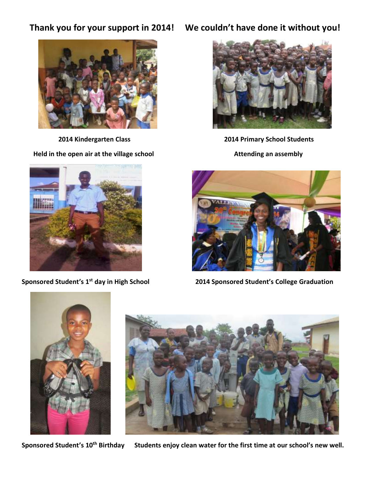

Held in the open air at the village school **Attending an assembly** 



**Thank you for your support in 2014! We couldn't have done it without you!**



 **2014 Kindergarten Class 2014 Primary School Students**



**Sponsored Student's 1st day in High School 2014 Sponsored Student's College Graduation** 



**Sponsored Student's 10th Birthday Students enjoy clean water for the first time at our school's new well.**